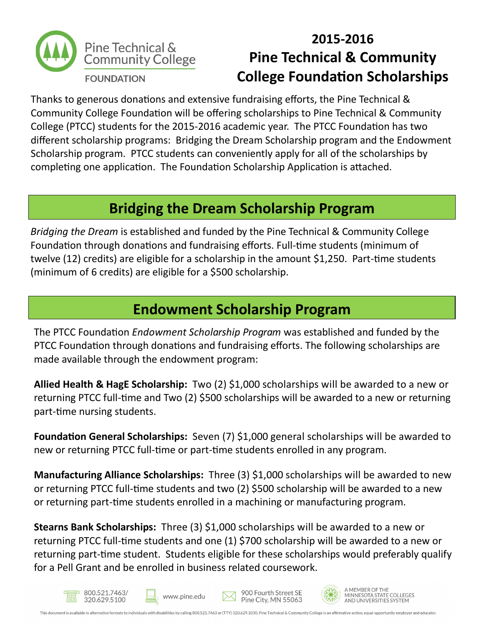

## **2015-2016 Pine Technical & Community College Foundation Scholarships**

Thanks to generous donations and extensive fundraising efforts, the Pine Technical & Community College Foundation will be offering scholarships to Pine Technical & Community College (PTCC) students for the 2015-2016 academic year. The PTCC Foundation has two different scholarship programs: Bridging the Dream Scholarship program and the Endowment Scholarship program. PTCC students can conveniently apply for all of the scholarships by completing one application. The Foundation Scholarship Application is attached.

## **Bridging the Dream Scholarship Program**

*Bridging the Dream* is established and funded by the Pine Technical & Community College Foundation through donations and fundraising efforts. Full-time students (minimum of twelve (12) credits) are eligible for a scholarship in the amount \$1,250. Part-time students (minimum of 6 credits) are eligible for a \$500 scholarship.

### **Endowment Scholarship Program**

The PTCC Foundation *Endowment Scholarship Program* was established and funded by the PTCC Foundation through donations and fundraising efforts. The following scholarships are made available through the endowment program:

**Allied Health & HagE Scholarship:** Two (2) \$1,000 scholarships will be awarded to a new or returning PTCC full-time and Two (2) \$500 scholarships will be awarded to a new or returning part-time nursing students.

**Foundation General Scholarships:** Seven (7) \$1,000 general scholarships will be awarded to new or returning PTCC full-time or part-time students enrolled in any program.

**Manufacturing Alliance Scholarships:** Three (3) \$1,000 scholarships will be awarded to new or returning PTCC full-time students and two (2) \$500 scholarship will be awarded to a new or returning part-time students enrolled in a machining or manufacturing program.

**Stearns Bank Scholarships:** Three (3) \$1,000 scholarships will be awarded to a new or returning PTCC full-time students and one (1) \$700 scholarship will be awarded to a new or returning part-time student. Students eligible for these scholarships would preferably qualify for a Pell Grant and be enrolled in business related coursework.









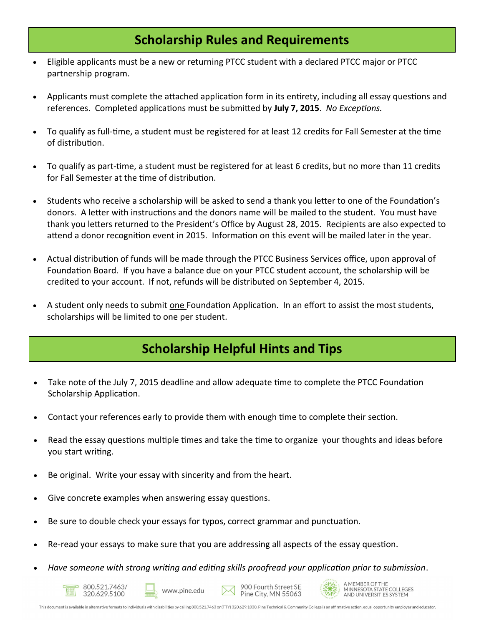#### **Scholarship Rules and Requirements**

- Eligible applicants must be a new or returning PTCC student with a declared PTCC major or PTCC partnership program.
- Applicants must complete the attached application form in its entirety, including all essay questions and references. Completed applications must be submitted by **July 7, 2015**. *No Exceptions.*
- To qualify as full-time, a student must be registered for at least 12 credits for Fall Semester at the time of distribution.
- To qualify as part-time, a student must be registered for at least 6 credits, but no more than 11 credits for Fall Semester at the time of distribution.
- Students who receive a scholarship will be asked to send a thank you letter to one of the Foundation's donors. A letter with instructions and the donors name will be mailed to the student. You must have thank you letters returned to the President's Office by August 28, 2015. Recipients are also expected to attend a donor recognition event in 2015. Information on this event will be mailed later in the year.
- Actual distribution of funds will be made through the PTCC Business Services office, upon approval of Foundation Board. If you have a balance due on your PTCC student account, the scholarship will be credited to your account. If not, refunds will be distributed on September 4, 2015.
- A student only needs to submit one Foundation Application. In an effort to assist the most students, scholarships will be limited to one per student.

### **Scholarship Helpful Hints and Tips**

- Take note of the July 7, 2015 deadline and allow adequate time to complete the PTCC Foundation Scholarship Application.
- Contact your references early to provide them with enough time to complete their section.
- Read the essay questions multiple times and take the time to organize your thoughts and ideas before you start writing.
- Be original. Write your essay with sincerity and from the heart.
- Give concrete examples when answering essay questions.
- Be sure to double check your essays for typos, correct grammar and punctuation.
- Re-read your essays to make sure that you are addressing all aspects of the essay question.
- *Have someone with strong writing and editing skills proofread your application prior to submission*.









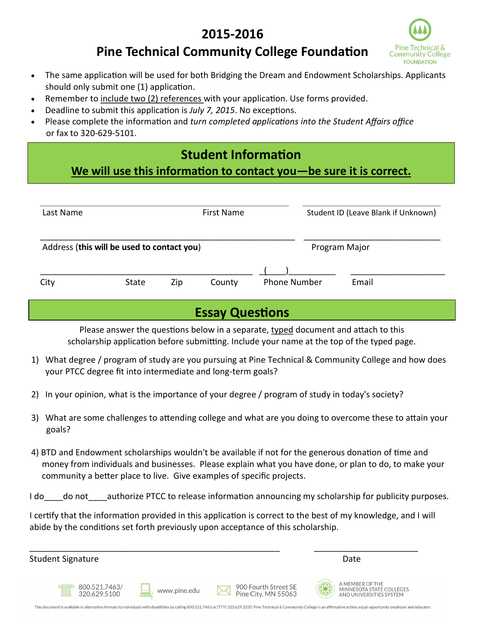### **2015-2016**



### **Pine Technical Community College Foundation**

- The same application will be used for both Bridging the Dream and Endowment Scholarships. Applicants should only submit one (1) application.
- Remember to include two (2) references with your application. Use forms provided.
- Deadline to submit this application is *July 7, 2015*. No exceptions.
- Please complete the information and *turn completed applications into the Student Affairs office*  or fax to 320-629-5101.

#### **Student Information**

#### **We will use this information to contact you—be sure it is correct.**

| Last Name<br>First Name                    |  |  |  | Student ID (Leave Blank if Unknown) |       |
|--------------------------------------------|--|--|--|-------------------------------------|-------|
| Address (this will be used to contact you) |  |  |  | Program Major                       |       |
|                                            |  |  |  |                                     | Email |

#### **Essay Questions**

Please answer the questions below in a separate, typed document and attach to this scholarship application before submitting. Include your name at the top of the typed page.

- 1) What degree / program of study are you pursuing at Pine Technical & Community College and how does your PTCC degree fit into intermediate and long-term goals?
- 2) In your opinion, what is the importance of your degree / program of study in today's society?
- 3) What are some challenges to attending college and what are you doing to overcome these to attain your goals?
- 4) BTD and Endowment scholarships wouldn't be available if not for the generous donation of time and money from individuals and businesses. Please explain what you have done, or plan to do, to make your community a better place to live. Give examples of specific projects.

I do do not authorize PTCC to release information announcing my scholarship for publicity purposes.

I certify that the information provided in this application is correct to the best of my knowledge, and I will abide by the conditions set forth previously upon acceptance of this scholarship.

| <b>Student Signature</b>      |              |                                             | Date                                                                        |
|-------------------------------|--------------|---------------------------------------------|-----------------------------------------------------------------------------|
| 800.521.7463/<br>320.629.5100 | www.pine.edu | 900 Fourth Street SE<br>Pine City, MN 55063 | 業<br>A MEMBER OF THE<br>MINNESOTA STATE COLLEGES<br>AND UNIVERSITIES SYSTEM |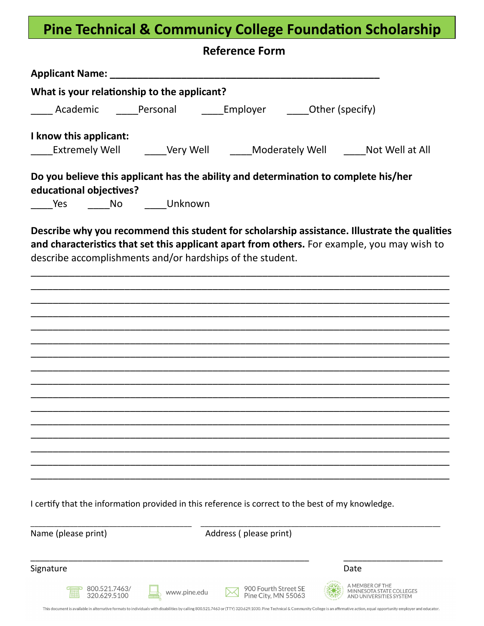# **Pine Technical & Communicy College Foundation Scholarship**

| What is your relationship to the applicant?<br>_____ Academic ______Personal ________ Employer _______ Other (specify)<br>I know this applicant:<br>Extremely Well Cary Well Moderately Well Mot Well at All                                                                                                                                                                            |  |
|-----------------------------------------------------------------------------------------------------------------------------------------------------------------------------------------------------------------------------------------------------------------------------------------------------------------------------------------------------------------------------------------|--|
|                                                                                                                                                                                                                                                                                                                                                                                         |  |
|                                                                                                                                                                                                                                                                                                                                                                                         |  |
|                                                                                                                                                                                                                                                                                                                                                                                         |  |
|                                                                                                                                                                                                                                                                                                                                                                                         |  |
|                                                                                                                                                                                                                                                                                                                                                                                         |  |
| Do you believe this applicant has the ability and determination to complete his/her<br>educational objectives?                                                                                                                                                                                                                                                                          |  |
| _____Yes _______No _______Unknown                                                                                                                                                                                                                                                                                                                                                       |  |
| Describe why you recommend this student for scholarship assistance. Illustrate the qualities<br>and characteristics that set this applicant apart from others. For example, you may wish to<br>describe accomplishments and/or hardships of the student.                                                                                                                                |  |
|                                                                                                                                                                                                                                                                                                                                                                                         |  |
|                                                                                                                                                                                                                                                                                                                                                                                         |  |
|                                                                                                                                                                                                                                                                                                                                                                                         |  |
|                                                                                                                                                                                                                                                                                                                                                                                         |  |
|                                                                                                                                                                                                                                                                                                                                                                                         |  |
|                                                                                                                                                                                                                                                                                                                                                                                         |  |
|                                                                                                                                                                                                                                                                                                                                                                                         |  |
|                                                                                                                                                                                                                                                                                                                                                                                         |  |
|                                                                                                                                                                                                                                                                                                                                                                                         |  |
| I certify that the information provided in this reference is correct to the best of my knowledge.                                                                                                                                                                                                                                                                                       |  |
| Name (please print)<br>Address (please print)                                                                                                                                                                                                                                                                                                                                           |  |
| Signature<br>Date                                                                                                                                                                                                                                                                                                                                                                       |  |
| A MEMBER OF THE<br>900 Fourth Street SE<br>800.521.7463/<br>MINNESOTA STATE COLLEGES<br>www.pine.edu<br>Pine City, MN 55063<br>AND UNIVERSITIES SYSTEM<br>This document is available in alternative formats to individuals with disabilities by calling 800.521.7463 or (TTY) 320.629.1030. Pine Technical & Community College is an affirmative action, equal opportunity employer and |  |